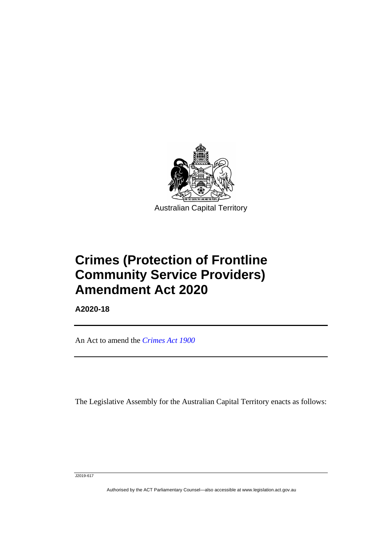

**Crimes (Protection of Frontline Community Service Providers) Amendment Act 2020**

**A2020-18**

ׅ֖֖֚֚֡֡֬֝֬

An Act to amend the *[Crimes Act 1900](http://www.legislation.act.gov.au/a/1900-40)*

The Legislative Assembly for the Australian Capital Territory enacts as follows:

J2019-617

Authorised by the ACT Parliamentary Counsel—also accessible at www.legislation.act.gov.au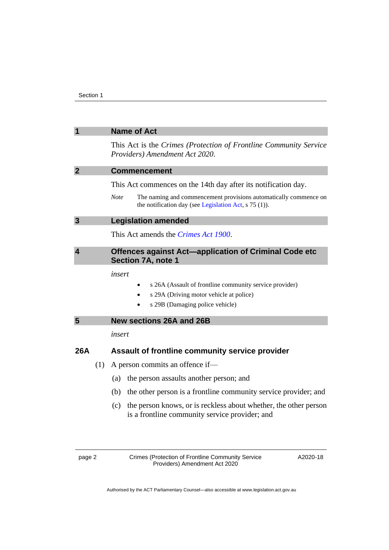|                         |     |                                                                                    | <b>Name of Act</b>                                                                                                                    |  |
|-------------------------|-----|------------------------------------------------------------------------------------|---------------------------------------------------------------------------------------------------------------------------------------|--|
|                         |     |                                                                                    | This Act is the Crimes (Protection of Frontline Community Service<br>Providers) Amendment Act 2020.                                   |  |
| $\overline{2}$          |     | <b>Commencement</b>                                                                |                                                                                                                                       |  |
|                         |     |                                                                                    | This Act commences on the 14th day after its notification day.                                                                        |  |
|                         |     | <b>Note</b>                                                                        | The naming and commencement provisions automatically commence on<br>the notification day (see Legislation Act, $s$ 75 (1)).           |  |
| 3                       |     | <b>Legislation amended</b>                                                         |                                                                                                                                       |  |
|                         |     |                                                                                    | This Act amends the <i>Crimes Act 1900</i> .                                                                                          |  |
| $\overline{\mathbf{4}}$ |     | Offences against Act-application of Criminal Code etc<br><b>Section 7A, note 1</b> |                                                                                                                                       |  |
|                         |     | insert                                                                             | s 26A (Assault of frontline community service provider)<br>s 29A (Driving motor vehicle at police)<br>s 29B (Damaging police vehicle) |  |
| $5\phantom{.0}$         |     |                                                                                    | <b>New sections 26A and 26B</b>                                                                                                       |  |
|                         |     | insert                                                                             |                                                                                                                                       |  |
| 26A                     |     |                                                                                    | Assault of frontline community service provider                                                                                       |  |
|                         | (1) |                                                                                    | A person commits an offence if—                                                                                                       |  |
|                         |     | (a)                                                                                | the person assaults another person; and                                                                                               |  |
|                         |     | (b)                                                                                | the other person is a frontline community service provider; and                                                                       |  |
|                         |     | (c)                                                                                | the person knows, or is reckless about whether, the other person<br>is a frontline community service provider; and                    |  |
| page 2                  |     |                                                                                    | Crimes (Protection of Frontline Community Service<br>A2020-18<br>Providers) Amendment Act 2020                                        |  |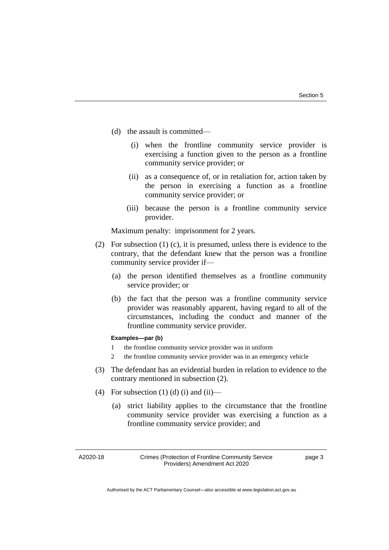- (d) the assault is committed—
	- (i) when the frontline community service provider is exercising a function given to the person as a frontline community service provider; or
	- (ii) as a consequence of, or in retaliation for, action taken by the person in exercising a function as a frontline community service provider; or
	- (iii) because the person is a frontline community service provider.

Maximum penalty: imprisonment for 2 years.

- (2) For subsection (1) (c), it is presumed, unless there is evidence to the contrary, that the defendant knew that the person was a frontline community service provider if—
	- (a) the person identified themselves as a frontline community service provider; or
	- (b) the fact that the person was a frontline community service provider was reasonably apparent, having regard to all of the circumstances, including the conduct and manner of the frontline community service provider.

#### **Examples—par (b)**

- 1 the frontline community service provider was in uniform
- 2 the frontline community service provider was in an emergency vehicle
- (3) The defendant has an evidential burden in relation to evidence to the contrary mentioned in subsection (2).
- (4) For subsection (1) (d) (i) and (ii)—
	- (a) strict liability applies to the circumstance that the frontline community service provider was exercising a function as a frontline community service provider; and

A2020-18

page 3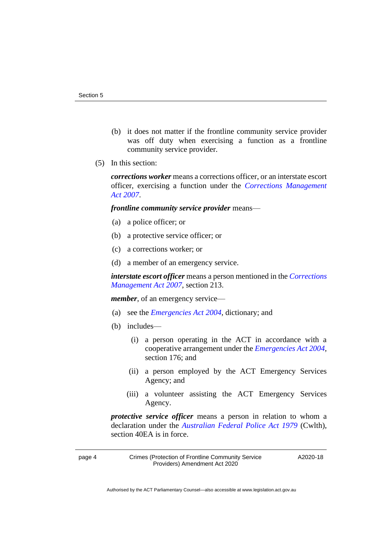- (b) it does not matter if the frontline community service provider was off duty when exercising a function as a frontline community service provider.
- (5) In this section:

*corrections worker* means a corrections officer, or an interstate escort officer, exercising a function under the *[Corrections Management](http://www.legislation.act.gov.au/a/2007-15)  Act [2007](http://www.legislation.act.gov.au/a/2007-15)*.

### *frontline community service provider* means—

- (a) a police officer; or
- (b) a protective service officer; or
- (c) a corrections worker; or
- (d) a member of an emergency service.

*interstate escort officer* means a person mentioned in the *[Corrections](http://www.legislation.act.gov.au/a/2007-15)  [Management Act 2007](http://www.legislation.act.gov.au/a/2007-15)*, section 213.

*member*, of an emergency service—

- (a) see the *[Emergencies Act 2004](http://www.legislation.act.gov.au/a/2004-28)*, dictionary; and
- (b) includes—
	- (i) a person operating in the ACT in accordance with a cooperative arrangement under the *[Emergencies Act 2004](http://www.legislation.act.gov.au/a/2004-28)*, section 176; and
	- (ii) a person employed by the ACT Emergency Services Agency; and
	- (iii) a volunteer assisting the ACT Emergency Services Agency.

*protective service officer* means a person in relation to whom a declaration under the *[Australian Federal Police Act 1979](https://www.legislation.gov.au/Series/C2004A02068)* (Cwlth), section 40EA is in force.

page 4 Crimes (Protection of Frontline Community Service Providers) Amendment Act 2020

A2020-18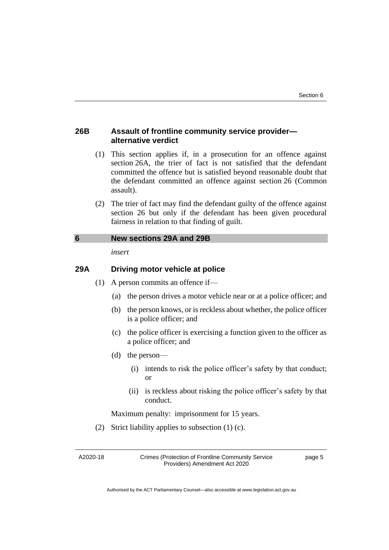## **26B Assault of frontline community service provider alternative verdict**

- (1) This section applies if, in a prosecution for an offence against section 26A, the trier of fact is not satisfied that the defendant committed the offence but is satisfied beyond reasonable doubt that the defendant committed an offence against section 26 (Common assault).
- (2) The trier of fact may find the defendant guilty of the offence against section 26 but only if the defendant has been given procedural fairness in relation to that finding of guilt.

## **6 New sections 29A and 29B**

*insert*

# **29A Driving motor vehicle at police**

- (1) A person commits an offence if—
	- (a) the person drives a motor vehicle near or at a police officer; and
	- (b) the person knows, or is reckless about whether, the police officer is a police officer; and
	- (c) the police officer is exercising a function given to the officer as a police officer; and
	- (d) the person—
		- (i) intends to risk the police officer's safety by that conduct; or
		- (ii) is reckless about risking the police officer's safety by that conduct.

Maximum penalty: imprisonment for 15 years.

(2) Strict liability applies to subsection (1) (c).

A2020-18

Crimes (Protection of Frontline Community Service Providers) Amendment Act 2020

page 5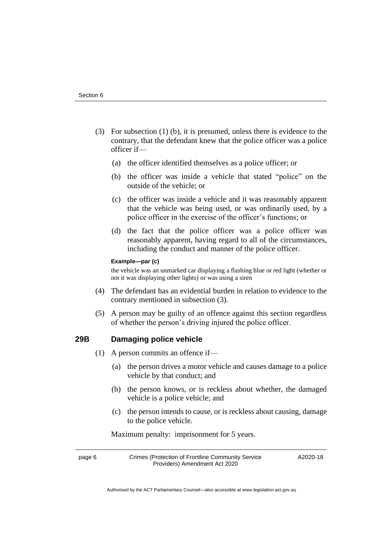- (3) For subsection (1) (b), it is presumed, unless there is evidence to the contrary, that the defendant knew that the police officer was a police officer if—
	- (a) the officer identified themselves as a police officer; or
	- (b) the officer was inside a vehicle that stated "police" on the outside of the vehicle; or
	- (c) the officer was inside a vehicle and it was reasonably apparent that the vehicle was being used, or was ordinarily used, by a police officer in the exercise of the officer's functions; or
	- (d) the fact that the police officer was a police officer was reasonably apparent, having regard to all of the circumstances, including the conduct and manner of the police officer.

#### **Example—par (c)**

the vehicle was an unmarked car displaying a flashing blue or red light (whether or not it was displaying other lights) or was using a siren

- (4) The defendant has an evidential burden in relation to evidence to the contrary mentioned in subsection (3).
- (5) A person may be guilty of an offence against this section regardless of whether the person's driving injured the police officer.

## **29B Damaging police vehicle**

- (1) A person commits an offence if—
	- (a) the person drives a motor vehicle and causes damage to a police vehicle by that conduct; and
	- (b) the person knows, or is reckless about whether, the damaged vehicle is a police vehicle; and
	- (c) the person intends to cause, or is reckless about causing, damage to the police vehicle.

Maximum penalty: imprisonment for 5 years.

page 6 Crimes (Protection of Frontline Community Service Providers) Amendment Act 2020

A2020-18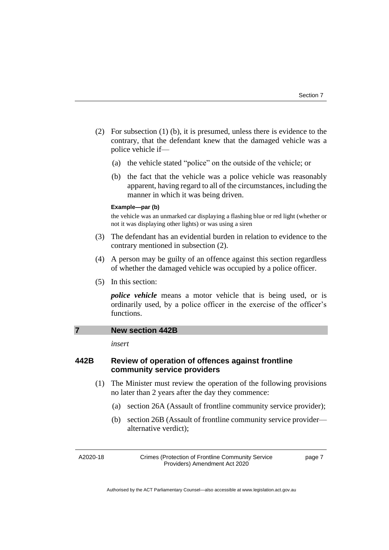- (2) For subsection (1) (b), it is presumed, unless there is evidence to the contrary, that the defendant knew that the damaged vehicle was a police vehicle if—
	- (a) the vehicle stated "police" on the outside of the vehicle; or
	- (b) the fact that the vehicle was a police vehicle was reasonably apparent, having regard to all of the circumstances, including the manner in which it was being driven.

#### **Example—par (b)**

the vehicle was an unmarked car displaying a flashing blue or red light (whether or not it was displaying other lights) or was using a siren

- (3) The defendant has an evidential burden in relation to evidence to the contrary mentioned in subsection (2).
- (4) A person may be guilty of an offence against this section regardless of whether the damaged vehicle was occupied by a police officer.
- (5) In this section:

*police vehicle* means a motor vehicle that is being used, or is ordinarily used, by a police officer in the exercise of the officer's functions.

### **7 New section 442B**

*insert*

## **442B Review of operation of offences against frontline community service providers**

- (1) The Minister must review the operation of the following provisions no later than 2 years after the day they commence:
	- (a) section 26A (Assault of frontline community service provider);
	- (b) section 26B (Assault of frontline community service provider alternative verdict);

A2020-18

Crimes (Protection of Frontline Community Service Providers) Amendment Act 2020

page 7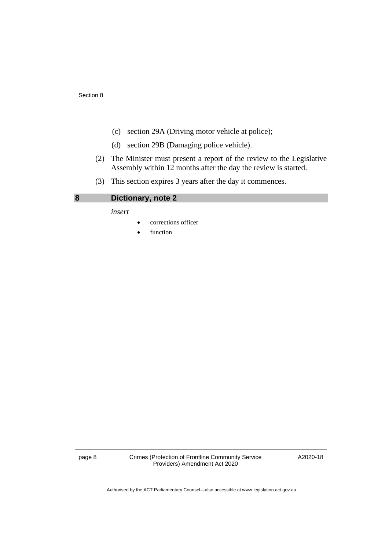- (c) section 29A (Driving motor vehicle at police);
- (d) section 29B (Damaging police vehicle).
- (2) The Minister must present a report of the review to the Legislative Assembly within 12 months after the day the review is started.
- (3) This section expires 3 years after the day it commences.

# **8 Dictionary, note 2**

*insert*

- corrections officer
- function

page 8 Crimes (Protection of Frontline Community Service Providers) Amendment Act 2020

A2020-18

Authorised by the ACT Parliamentary Counsel—also accessible at www.legislation.act.gov.au